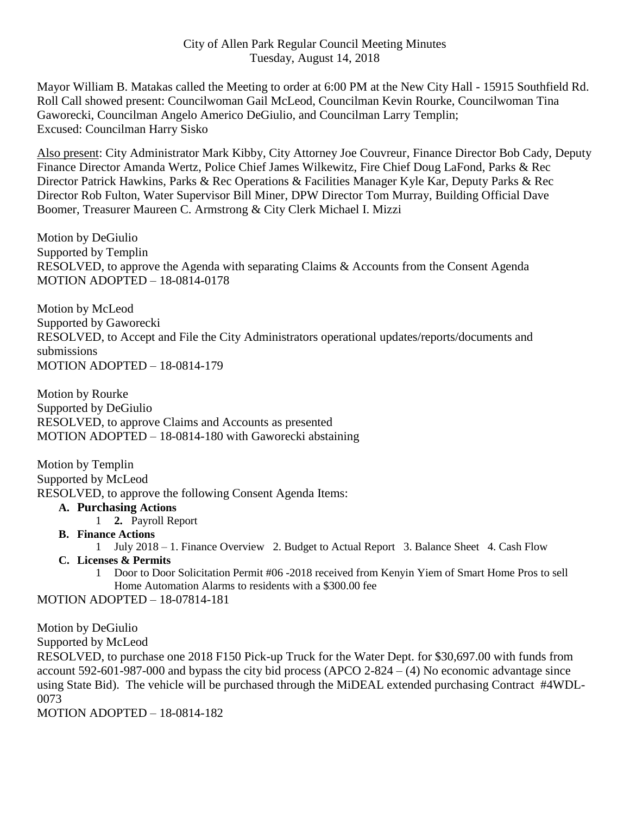Mayor William B. Matakas called the Meeting to order at 6:00 PM at the New City Hall - 15915 Southfield Rd. Roll Call showed present: Councilwoman Gail McLeod, Councilman Kevin Rourke, Councilwoman Tina Gaworecki, Councilman Angelo Americo DeGiulio, and Councilman Larry Templin; Excused: Councilman Harry Sisko

Also present: City Administrator Mark Kibby, City Attorney Joe Couvreur, Finance Director Bob Cady, Deputy Finance Director Amanda Wertz, Police Chief James Wilkewitz, Fire Chief Doug LaFond, Parks & Rec Director Patrick Hawkins, Parks & Rec Operations & Facilities Manager Kyle Kar, Deputy Parks & Rec Director Rob Fulton, Water Supervisor Bill Miner, DPW Director Tom Murray, Building Official Dave Boomer, Treasurer Maureen C. Armstrong & City Clerk Michael I. Mizzi

Motion by DeGiulio Supported by Templin RESOLVED, to approve the Agenda with separating Claims & Accounts from the Consent Agenda MOTION ADOPTED – 18-0814-0178

Motion by McLeod Supported by Gaworecki RESOLVED, to Accept and File the City Administrators operational updates/reports/documents and submissions MOTION ADOPTED – 18-0814-179

Motion by Rourke Supported by DeGiulio RESOLVED, to approve Claims and Accounts as presented MOTION ADOPTED – 18-0814-180 with Gaworecki abstaining

Motion by Templin Supported by McLeod RESOLVED, to approve the following Consent Agenda Items:

## **A. Purchasing Actions**

- 1 **2.** Payroll Report
- **B. Finance Actions**
	- 1 July 2018 1. Finance Overview 2. Budget to Actual Report 3. Balance Sheet 4. Cash Flow
- **C. Licenses & Permits**
	- 1 Door to Door Solicitation Permit #06 -2018 received from Kenyin Yiem of Smart Home Pros to sell Home Automation Alarms to residents with a \$300.00 fee

MOTION ADOPTED – 18-07814-181

Motion by DeGiulio

Supported by McLeod

RESOLVED, to purchase one 2018 F150 Pick-up Truck for the Water Dept. for \$30,697.00 with funds from account 592-601-987-000 and bypass the city bid process (APCO 2-824 – (4) No economic advantage since using State Bid). The vehicle will be purchased through the MiDEAL extended purchasing Contract #4WDL-0073

MOTION ADOPTED – 18-0814-182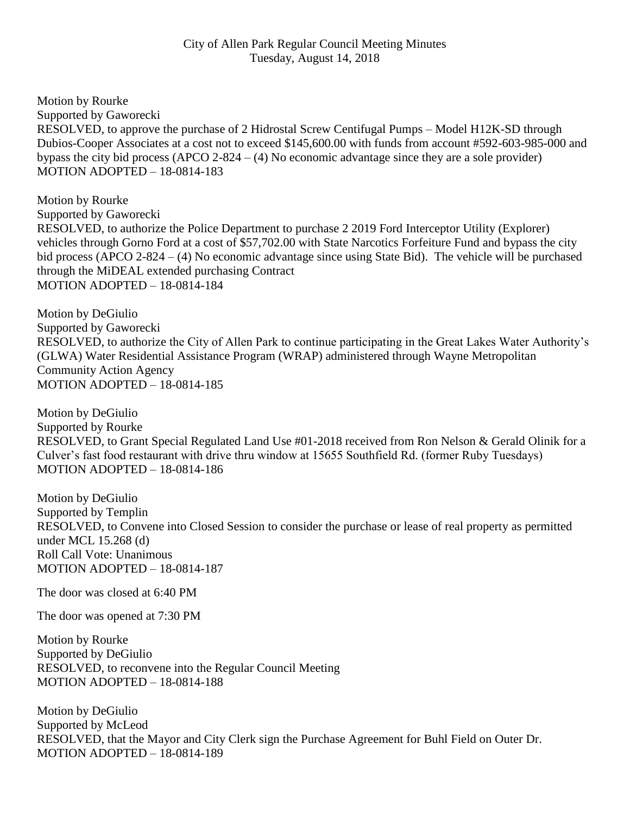## City of Allen Park Regular Council Meeting Minutes Tuesday, August 14, 2018

Motion by Rourke Supported by Gaworecki RESOLVED, to approve the purchase of 2 Hidrostal Screw Centifugal Pumps – Model H12K-SD through Dubios-Cooper Associates at a cost not to exceed \$145,600.00 with funds from account #592-603-985-000 and bypass the city bid process (APCO 2-824 – (4) No economic advantage since they are a sole provider) MOTION ADOPTED – 18-0814-183

Motion by Rourke Supported by Gaworecki RESOLVED, to authorize the Police Department to purchase 2 2019 Ford Interceptor Utility (Explorer) vehicles through Gorno Ford at a cost of \$57,702.00 with State Narcotics Forfeiture Fund and bypass the city bid process (APCO 2-824 – (4) No economic advantage since using State Bid). The vehicle will be purchased through the MiDEAL extended purchasing Contract MOTION ADOPTED – 18-0814-184

Motion by DeGiulio Supported by Gaworecki RESOLVED, to authorize the City of Allen Park to continue participating in the Great Lakes Water Authority's (GLWA) Water Residential Assistance Program (WRAP) administered through Wayne Metropolitan Community Action Agency MOTION ADOPTED – 18-0814-185

Motion by DeGiulio Supported by Rourke RESOLVED, to Grant Special Regulated Land Use #01-2018 received from Ron Nelson & Gerald Olinik for a Culver's fast food restaurant with drive thru window at 15655 Southfield Rd. (former Ruby Tuesdays) MOTION ADOPTED – 18-0814-186

Motion by DeGiulio Supported by Templin RESOLVED, to Convene into Closed Session to consider the purchase or lease of real property as permitted under MCL 15.268 (d) Roll Call Vote: Unanimous MOTION ADOPTED – 18-0814-187

The door was closed at 6:40 PM

The door was opened at 7:30 PM

Motion by Rourke Supported by DeGiulio RESOLVED, to reconvene into the Regular Council Meeting MOTION ADOPTED – 18-0814-188

Motion by DeGiulio Supported by McLeod RESOLVED, that the Mayor and City Clerk sign the Purchase Agreement for Buhl Field on Outer Dr. MOTION ADOPTED – 18-0814-189